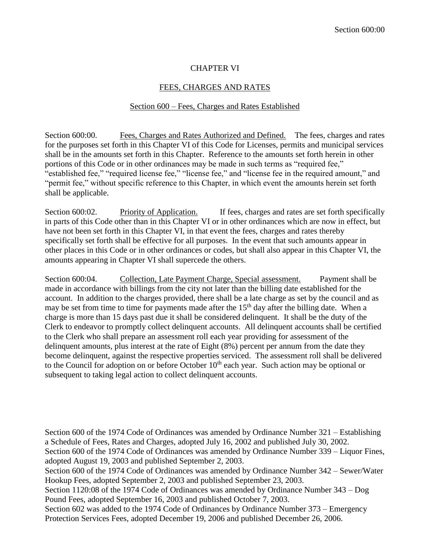## CHAPTER VI

## FEES, CHARGES AND RATES

## Section 600 – Fees, Charges and Rates Established

Section 600:00. Fees, Charges and Rates Authorized and Defined. The fees, charges and rates for the purposes set forth in this Chapter VI of this Code for Licenses, permits and municipal services shall be in the amounts set forth in this Chapter. Reference to the amounts set forth herein in other portions of this Code or in other ordinances may be made in such terms as "required fee," "established fee," "required license fee," "license fee," and "license fee in the required amount," and "permit fee," without specific reference to this Chapter, in which event the amounts herein set forth shall be applicable.

Section 600:02. Priority of Application. If fees, charges and rates are set forth specifically in parts of this Code other than in this Chapter VI or in other ordinances which are now in effect, but have not been set forth in this Chapter VI, in that event the fees, charges and rates thereby specifically set forth shall be effective for all purposes. In the event that such amounts appear in other places in this Code or in other ordinances or codes, but shall also appear in this Chapter VI, the amounts appearing in Chapter VI shall supercede the others.

Section 600:04. Collection, Late Payment Charge, Special assessment. Payment shall be made in accordance with billings from the city not later than the billing date established for the account. In addition to the charges provided, there shall be a late charge as set by the council and as may be set from time to time for payments made after the  $15<sup>th</sup>$  day after the billing date. When a charge is more than 15 days past due it shall be considered delinquent. It shall be the duty of the Clerk to endeavor to promptly collect delinquent accounts. All delinquent accounts shall be certified to the Clerk who shall prepare an assessment roll each year providing for assessment of the delinquent amounts, plus interest at the rate of Eight (8%) percent per annum from the date they become delinquent, against the respective properties serviced. The assessment roll shall be delivered to the Council for adoption on or before October  $10<sup>th</sup>$  each year. Such action may be optional or subsequent to taking legal action to collect delinquent accounts.

Section 600 of the 1974 Code of Ordinances was amended by Ordinance Number 321 – Establishing a Schedule of Fees, Rates and Charges, adopted July 16, 2002 and published July 30, 2002. Section 600 of the 1974 Code of Ordinances was amended by Ordinance Number 339 – Liquor Fines,

adopted August 19, 2003 and published September 2, 2003.

Section 600 of the 1974 Code of Ordinances was amended by Ordinance Number 342 – Sewer/Water Hookup Fees, adopted September 2, 2003 and published September 23, 2003.

Section 1120:08 of the 1974 Code of Ordinances was amended by Ordinance Number 343 – Dog Pound Fees, adopted September 16, 2003 and published October 7, 2003.

Section 602 was added to the 1974 Code of Ordinances by Ordinance Number 373 – Emergency Protection Services Fees, adopted December 19, 2006 and published December 26, 2006.